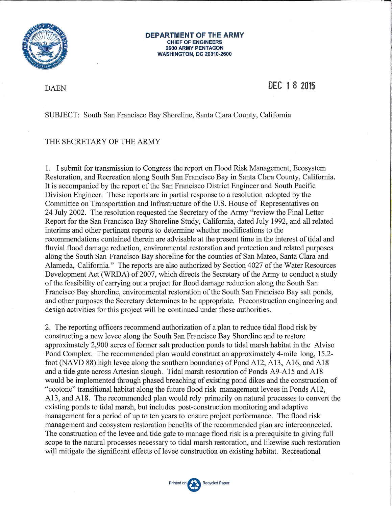

#### **DEPARTMENT OF THE ARMY CHIEF OF ENGINEERS 2600 ARMY PENTAGON WASHINGTON, DC 20310-2600**

**DAEN** 

DEC 1 8 2015

SUBJECT: South San Francisco Bay Shoreline, Santa Clara County, California

#### THE SECRETARY OF THE ARMY

1. I submit for transmission to Congress the report on Flood Risk Management, Ecosystem Restoration, and Recreation along South San Francisco Bay in Santa Clara County, California. It is accompanied by the report of the San Francisco District Engineer and South Pacific Division Engineer. These reports are in partial response to a resolution adopted by the Committee on Transportation and Infrastructure of the U.S. House of Representatives on 24 July 2002. The resolution requested the Secretary of the Army "review the Final Letter Report for the San Francisco Bay Shoreline Study, California, dated July 1992, and all related interims and other pertinent reports to determine whether modifications to the recommendations contained therein are advisable at the present time in the interest of tidal and fluvial flood damage reduction, environmental restoration and protection and related purposes along the South San Francisco Bay shoreline for the counties of San Mateo, Santa Clara and Alameda, California." The reports are also authorized by Section 4027 of the Water Resources Development Act (WRDA) of 2007, which directs the Secretary of the Army to conduct a study of the feasibility of carrying out a project for flood damage reduction along the South San Francisco Bay shoreline, environmental restoration of the South San Francisco Bay salt ponds, and other purposes the Secretary determines to be appropriate. Preconstruction engineering and design activities for this project will be continued under these authorities.

2. The reporting officers recommend authorization of a plan to reduce tidal flood risk by constructing a new levee along the South San Francisco Bay Shoreline and to restore approximately 2,900 acres of former salt production ponds to tidal marsh habitat in the Alviso Pond Complex. The recommended plan would construct an approximately 4-mile long, 15.2foot (NAVD 88) high levee along the southern boundaries of Pond A12, A13, A16, and A18 and a tide gate across Artesian slough. Tidal marsh restoration of Ponds A9-A15 and A18 would be implemented through phased breaching of existing pond dikes and the construction of "ecotone" transitional habitat along the future flood risk management levees in Ponds A12, A13, and A18. The recommended plan would rely primarily on natural processes to convert the existing ponds to tidal marsh, but includes post-construction monitoring and adaptive management for a period of up to ten years to ensure project performance. The flood risk management and ecosystem restoration benefits of the recommended plan are interconnected. The construction of the levee and tide gate to manage flood risk is a prerequisite to giving full scope to the natural processes necessary to tidal marsh restoration, and likewise such restoration will mitigate the significant effects of levee construction on existing habitat. Recreational

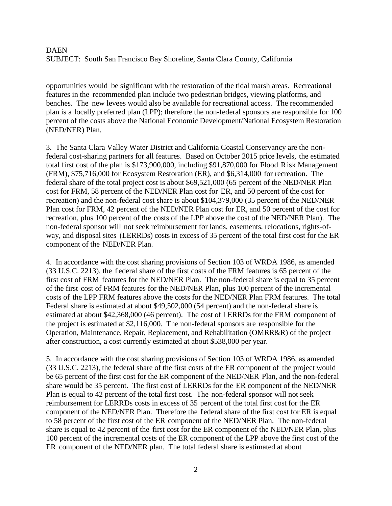opportunities would be significant with the restoration of the tidal marsh areas. Recreational features in the recommended plan include two pedestrian bridges, viewing platforms, and benches. The new levees would also be available for recreational access. The recommended plan is a locally preferred plan (LPP); therefore the non-federal sponsors are responsible for 100 percent of the costs above the National Economic Development/National Ecosystem Restoration (NED/NER) Plan.

3. The Santa Clara Valley Water District and California Coastal Conservancy are the nonfederal cost-sharing partners for all features. Based on October 2015 price levels, the estimated total first cost of the plan is \$173,900,000, including \$91,870,000 for Flood Risk Management (FRM), \$75,716,000 for Ecosystem Restoration (ER), and \$6,314,000 for recreation. The federal share of the total project cost is about \$69,521,000 (65 percent of the NED/NER Plan cost for FRM, 58 percent of the NED/NER Plan cost for ER, and 50 percent of the cost for recreation) and the non-federal cost share is about \$104,379,000 (35 percent of the NED/NER Plan cost for FRM, 42 percent of the NED/NER Plan cost for ER, and 50 percent of the cost for recreation, plus 100 percent of the costs of the LPP above the cost of the NED/NER Plan). The non-federal sponsor will not seek reimbursement for lands, easements, relocations, rights-ofway, and disposal sites (LERRDs) costs in excess of 35 percent of the total first cost for the ER component of the NED/NER Plan.

4. In accordance with the cost sharing provisions of Section 103 of WRDA 1986, as amended (33 U.S.C. 2213), the f ederal share of the first costs of the FRM features is 65 percent of the first cost of FRM features for the NED/NER Plan. The non-federal share is equal to 35 percent of the first cost of FRM features for the NED/NER Plan, plus 100 percent of the incremental costs of the LPP FRM features above the costs for the NED/NER Plan FRM features. The total Federal share is estimated at about \$49,502,000 (54 percent) and the non-federal share is estimated at about \$42,368,000 (46 percent). The cost of LERRDs for the FRM component of the project is estimated at \$2,116,000. The non-federal sponsors are responsible for the Operation, Maintenance, Repair, Replacement, and Rehabilitation (OMRR&R) of the project after construction, a cost currently estimated at about \$538,000 per year.

5. In accordance with the cost sharing provisions of Section 103 of WRDA 1986, as amended (33 U.S.C. 2213), the federal share of the first costs of the ER component of the project would be 65 percent of the first cost for the ER component of the NED/NER Plan, and the non-federal share would be 35 percent. The first cost of LERRDs for the ER component of the NED/NER Plan is equal to 42 percent of the total first cost. The non-federal sponsor will not seek reimbursement for LERRDs costs in excess of 35 percent of the total first cost for the ER component of the NED/NER Plan. Therefore the federal share of the first cost for ER is equal to 58 percent of the first cost of the ER component of the NED/NER Plan. The non-federal share is equal to 42 percent of the first cost for the ER component of the NED/NER Plan, plus 100 percent of the incremental costs of the ER component of the LPP above the first cost of the ER component of the NED/NER plan. The total federal share is estimated at about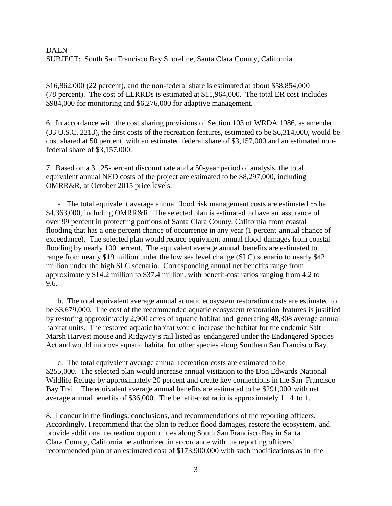\$16,862,000 (22 percent), and the non-federal share is estimated at about \$58,854,000 (78 percent). The cost of LERRDs is estimated at \$11,964,000. The total ER cost includes \$984,000 for monitoring and \$6,276,000 for adaptive management.

6. In accordance with the cost sharing provisions of Section 103 of WRDA 1986, as amended (33 U.S.C. 2213), the first costs of the recreation features, estimated to be \$6,314,000, would be cost shared at 50 percent, with an estimated federal share of \$3,157,000 and an estimated nonfederal share of \$3,157,000.

7. Based on a 3.125-percent discount rate and a 50-year period of analysis, the total equivalent annual NED costs of the project are estimated to be \$8,297,000, including OMRR&R, at October 2015 price levels.

a. The total equivalent average annual flood risk management costs are estimated to be \$4,363,000, including OMRR&R. The selected plan is estimated to have an assurance of over 99 percent in protecting portions of Santa Clara County, California from coastal flooding that has a one percent chance of occurrence in any year (1 percent annual chance of exceedance). The selected plan would reduce equivalent annual flood damages from coastal flooding by nearly 100 percent. The equivalent average annual benefits are estimated to range from nearly \$19 million under the low sea level change (SLC) scenario to nearly \$42 million under the high SLC scenario. Corresponding annual net benefits range from approximately \$14.2 million to \$37.4 million, with benefit-cost ratios ranging from 4.2 to 9.6.

b. The total equivalent average annual aquatic ecosystem restoration **c**osts are estimated to be \$3,679,000. The cost of the recommended aquatic ecosystem restoration features is justified by restoring approximately 2,900 acres of aquatic habitat and generating 48,308 average annual habitat units. The restored aquatic habitat would increase the habitat for the endemic Salt Marsh Harvest mouse and Ridgway's rail listed as endangered under the Endangered Species Act and would improve aquatic habitat for other species along Southern San Francisco Bay.

c. The total equivalent average annual recreation costs are estimated to be \$255,000. The selected plan would increase annual visitation to the Don Edwards National Wildlife Refuge by approximately 20 percent and create key connections in the San Francisco Bay Trail. The equivalent average annual benefits are estimated to be \$291,000 with net average annual benefits of \$36,000. The benefit-cost ratio is approximately 1.14 to 1.

8. I concur in the findings, conclusions, and recommendations of the reporting officers. Accordingly, I recommend that the plan to reduce flood damages, restore the ecosystem, and provide additional recreation opportunities along South San Francisco Bay in Santa Clara County, California be authorized in accordance with the reporting officers' recommended plan at an estimated cost of \$173,900,000 with such modifications as in the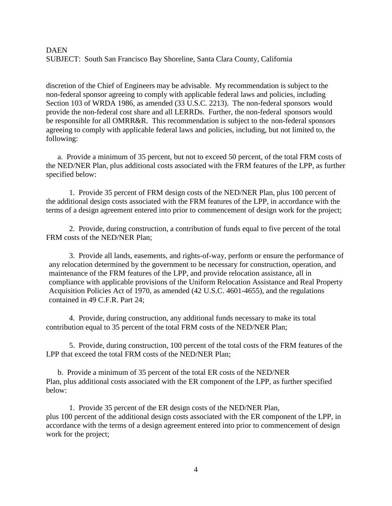discretion of the Chief of Engineers may be advisable. My recommendation is subject to the non-federal sponsor agreeing to comply with applicable federal laws and policies, including Section 103 of WRDA 1986, as amended (33 U.S.C. 2213). The non-federal sponsors would provide the non-federal cost share and all LERRDs. Further, the non-federal sponsors would be responsible for all OMRR&R. This recommendation is subject to the non-federal sponsors agreeing to comply with applicable federal laws and policies, including, but not limited to, the following:

a. Provide a minimum of 35 percent, but not to exceed 50 percent, of the total FRM costs of the NED/NER Plan, plus additional costs associated with the FRM features of the LPP, as further specified below:

1. Provide 35 percent of FRM design costs of the NED/NER Plan, plus 100 percent of the additional design costs associated with the FRM features of the LPP, in accordance with the terms of a design agreement entered into prior to commencement of design work for the project;

2. Provide, during construction, a contribution of funds equal to five percent of the total FRM costs of the NED/NER Plan;

3. Provide all lands, easements, and rights-of-way, perform or ensure the performance of any relocation determined by the government to be necessary for construction, operation, and maintenance of the FRM features of the LPP, and provide relocation assistance, all in compliance with applicable provisions of the Uniform Relocation Assistance and Real Property Acquisition Policies Act of 1970, as amended (42 U.S.C. 4601-4655), and the regulations contained in 49 C.F.R. Part 24;

4. Provide, during construction, any additional funds necessary to make its total contribution equal to 35 percent of the total FRM costs of the NED/NER Plan;

5. Provide, during construction, 100 percent of the total costs of the FRM features of the LPP that exceed the total FRM costs of the NED/NER Plan;

b. Provide a minimum of 35 percent of the total ER costs of the NED/NER Plan, plus additional costs associated with the ER component of the LPP, as further specified below:

1. Provide 35 percent of the ER design costs of the NED/NER Plan, plus 100 percent of the additional design costs associated with the ER component of the LPP, in accordance with the terms of a design agreement entered into prior to commencement of design work for the project;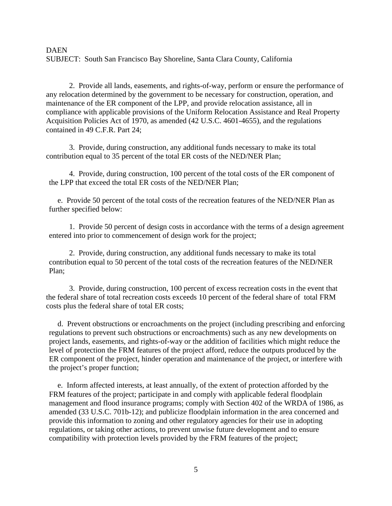2. Provide all lands, easements, and rights-of-way, perform or ensure the performance of any relocation determined by the government to be necessary for construction, operation, and maintenance of the ER component of the LPP, and provide relocation assistance, all in compliance with applicable provisions of the Uniform Relocation Assistance and Real Property Acquisition Policies Act of 1970, as amended (42 U.S.C. 4601-4655), and the regulations contained in 49 C.F.R. Part 24;

3. Provide, during construction, any additional funds necessary to make its total contribution equal to 35 percent of the total ER costs of the NED/NER Plan;

4. Provide, during construction, 100 percent of the total costs of the ER component of the LPP that exceed the total ER costs of the NED/NER Plan;

e. Provide 50 percent of the total costs of the recreation features of the NED/NER Plan as further specified below:

1. Provide 50 percent of design costs in accordance with the terms of a design agreement entered into prior to commencement of design work for the project;

2. Provide, during construction, any additional funds necessary to make its total contribution equal to 50 percent of the total costs of the recreation features of the NED/NER Plan;

3. Provide, during construction, 100 percent of excess recreation costs in the event that the federal share of total recreation costs exceeds 10 percent of the federal share of total FRM costs plus the federal share of total ER costs;

d. Prevent obstructions or encroachments on the project (including prescribing and enforcing regulations to prevent such obstructions or encroachments) such as any new developments on project lands, easements, and rights-of-way or the addition of facilities which might reduce the level of protection the FRM features of the project afford, reduce the outputs produced by the ER component of the project, hinder operation and maintenance of the project, or interfere with the project's proper function;

e. Inform affected interests, at least annually, of the extent of protection afforded by the FRM features of the project; participate in and comply with applicable federal floodplain management and flood insurance programs; comply with Section 402 of the WRDA of 1986, as amended (33 U.S.C. 701b-12); and publicize floodplain information in the area concerned and provide this information to zoning and other regulatory agencies for their use in adopting regulations, or taking other actions, to prevent unwise future development and to ensure compatibility with protection levels provided by the FRM features of the project;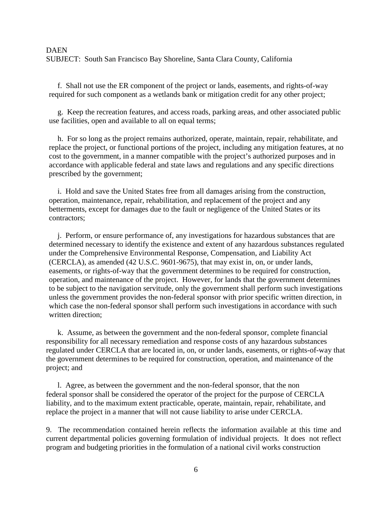f. Shall not use the ER component of the project or lands, easements, and rights-of-way required for such component as a wetlands bank or mitigation credit for any other project;

g. Keep the recreation features, and access roads, parking areas, and other associated public use facilities, open and available to all on equal terms;

h. For so long as the project remains authorized, operate, maintain, repair, rehabilitate, and replace the project, or functional portions of the project, including any mitigation features, at no cost to the government, in a manner compatible with the project's authorized purposes and in accordance with applicable federal and state laws and regulations and any specific directions prescribed by the government;

i. Hold and save the United States free from all damages arising from the construction, operation, maintenance, repair, rehabilitation, and replacement of the project and any betterments, except for damages due to the fault or negligence of the United States or its contractors;

j. Perform, or ensure performance of, any investigations for hazardous substances that are determined necessary to identify the existence and extent of any hazardous substances regulated under the Comprehensive Environmental Response, Compensation, and Liability Act (CERCLA), as amended (42 U.S.C. 9601-9675), that may exist in, on, or under lands, easements, or rights-of-way that the government determines to be required for construction, operation, and maintenance of the project. However, for lands that the government determines to be subject to the navigation servitude, only the government shall perform such investigations unless the government provides the non-federal sponsor with prior specific written direction, in which case the non-federal sponsor shall perform such investigations in accordance with such written direction;

k. Assume, as between the government and the non-federal sponsor, complete financial responsibility for all necessary remediation and response costs of any hazardous substances regulated under CERCLA that are located in, on, or under lands, easements, or rights-of-way that the government determines to be required for construction, operation, and maintenance of the project; and

l. Agree, as between the government and the non-federal sponsor, that the non federal sponsor shall be considered the operator of the project for the purpose of CERCLA liability, and to the maximum extent practicable, operate, maintain, repair, rehabilitate, and replace the project in a manner that will not cause liability to arise under CERCLA.

9. The recommendation contained herein reflects the information available at this time and current departmental policies governing formulation of individual projects. It does not reflect program and budgeting priorities in the formulation of a national civil works construction